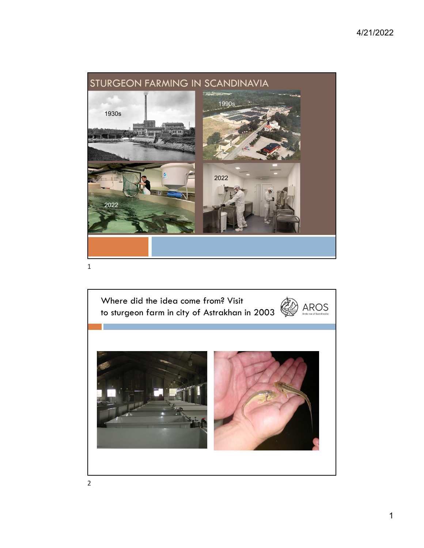

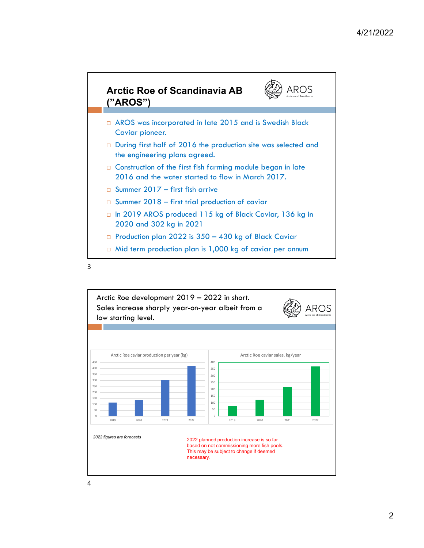

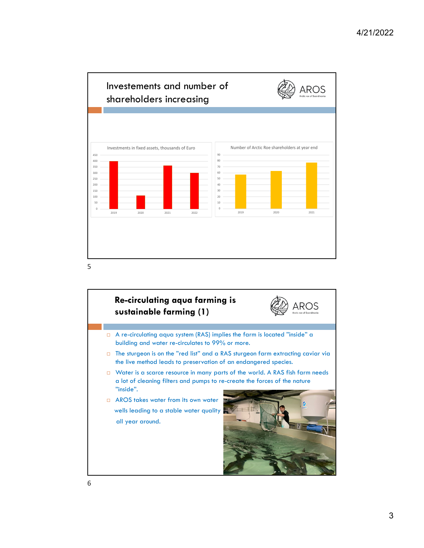

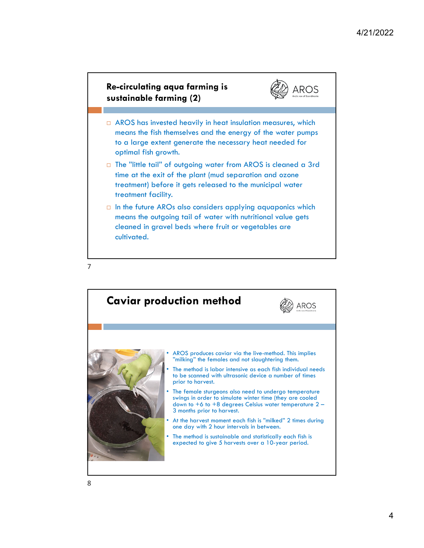AROS



- $\Box$  AROS has invested heavily in heat insulation measures, which means the fish themselves and the energy of the water pumps to a large extent generate the necessary heat needed for optimal fish growth.
- □ The "little tail" of outgoing water from AROS is cleaned a 3rd time at the exit of the plant (mud separation and ozone treatment) before it gets released to the municipal water treatment facility.
- $\Box$  In the future AROs also considers applying aquaponics which means the outgoing tail of water with nutritional value gets cleaned in gravel beds where fruit or vegetables are cultivated.

7

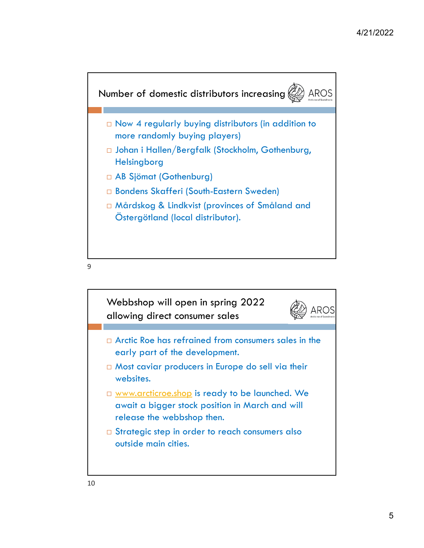

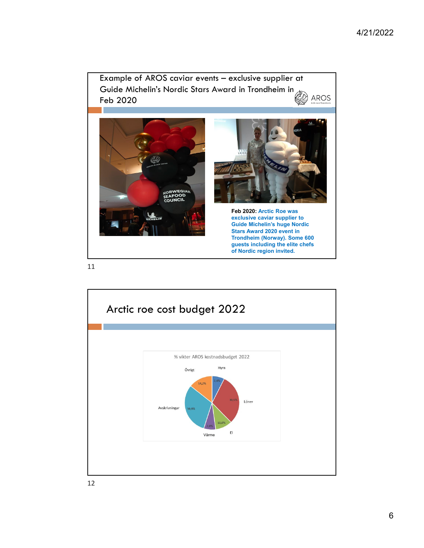

11

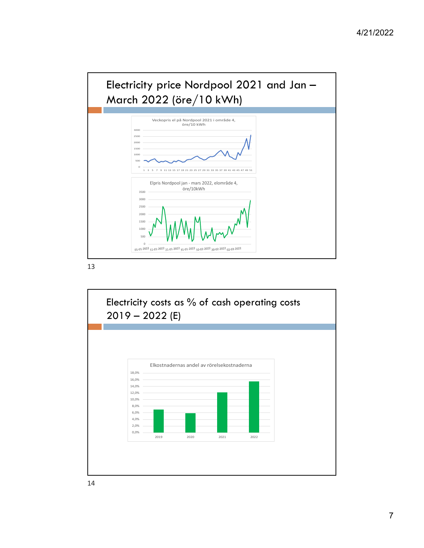

13